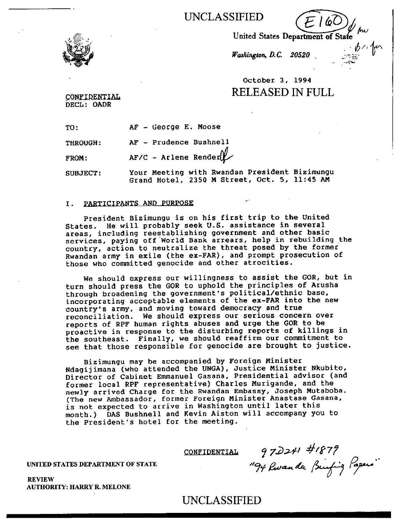UNCLASSIFIED 61)

United States Department of State

 $b^{\gamma_{\rm e}}$ 

Washington, D.C. 20520

# October 3, 1994 RELEASED IN FULL

CONFIDENTIAL DECL: OADR

TO: AF - George E. Moose

THROUGH: AF - Prudence Bushnell

FROM:  $AF/C - Arlene Render$ 

SUBJECT: Your Meeting with Rwandan President Bizimungu Grand Hotel, 2350 M Street, Oct. 5, 11:45 AM

#### I. PARTICIPANTS AND PURPOSE

President Bizimungu is on his first trip to the United States. He will probably seek U.S. assistance in several areas, including reestablishing government and other basic services, paying off World Bank arrears, help in rebuilding the country, action to neutralize the threat posed by the former Rwandan army in exile (the ex-FAR), and prompt prosecution of those who committed genocide and other atrocities.

We should express our willingness to assist the GOR, but in turn should press the GOR to uphold the principles of Arusha through broadening the government's political/ethnic base, incorporating acceptable elements of the ex-FAR into the new country's army, and moving toward democracy and true reconciliation. We should express our serious concern over reports of RPF human rights abuses and urge the GOR to be proactive in response to the disturbing reports of killings in the southeast. Finally, we should reaffirm our commitment to see that those responsible for genocide are brought to justice.

Bizimungu may be accompanied by Foreign Minister Ndagijimana (who attended the UNGA), Justice Minister Nkubito, Director of Cabinet Emmanuel Gasana, Presidential advisor (and former local RPF representative) Charles Murigande, and the newly arrived Charge for the Rwandan Embassy, Joseph Mutaboba. (The new Ambassador, former Foreign Minister Anastase Gasana, is not expected to arrive in Washington until later this month.) DAS Bushnell and Kevin Aiston will accompany you to the President's hotel for the meeting.

CONFIDENTIAL  $97$ DZ41  $\#$ 1879 "Che Puranda

UNITED STATES DEPARTMENT OF STATE

REVIEW AUTHORITY: HARRY R. MELONE

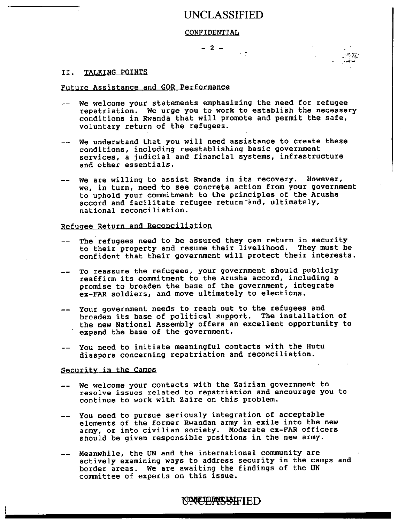### UNCLASSIFIED

#### CONFIDENTIAL

 $- 2 -$ 

#### II. TALKING POINTS

#### Future Assistance and GOR Performance

- -- We welcome your statements emphasizing the need for refugee repatriation. We urge you to work to establish the necessary conditions in Rwanda that will promote and permit the safe, voluntary return of the refugees.
- -- We understand that you will need assistance to create these conditions, including reestablishing basic government services, a judicial and financial systems, infrastructure and other essentials.
- -- We are willing to assist Rwanda in its recovery. However, we, in turn, need to see concrete action from your government to uphold your commitment to the principles of the Arusha accord and facilitate refugee return and, ultimately, national reconciliation.

### Refugee Return and Reconciliation

- The refugees need to be assured they can return in security to their property and resume their livelihood. They must be confident that their government will protect their interests.
- To reassure the refugees, your government should publicly reaffirm its commitment to the Arusha accord, including a promise to broaden the base of the government, integrate ex-FAR soldiers, and move ultimately to elections.
- -- Your government needs to reach out to the refugees and broaden its base of political support. The installation of the new National Assembly offers an excellent opportunity to<br>expand the base of the content of expand the base of the government.
- -- You need to initiate meaningful contacts with the Hutu diaspora concerning repatriation and reconciliation.

#### Security in the Camps

- We welcome your contacts with the Zairian government to resolve issues related to repatriation and encourage you to continue to work with Zaire on this problem.
- -- You need to pursue seriously integration of acceptable elements of the former Rwandan army in exile into the new army, or into civilian society. Moderate ex-FAR officers should be given responsible positions in the new army.
- Meanwhile, the UN and the international community are actively examining ways to address security in the camps and border areas. We are awaiting the findings of the UN committee of experts on this issue.

### LGONCERNSEAFTED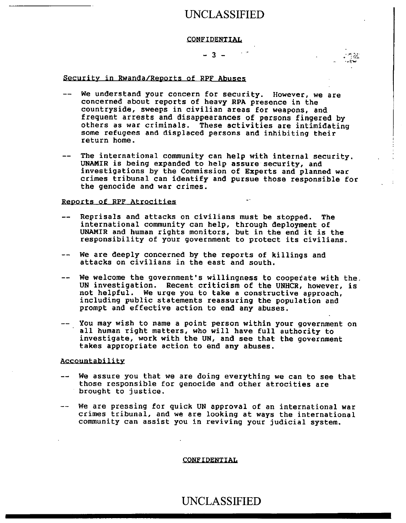## UNCLASSIFIED

#### **CONFIDENTIAL**

#### $-3 -$

#### Security in Rwanda/Reports of RPF Abuses

- We understand your concern for security. However, we are concerned about reports of heavy RPA presence in the countryside, sweeps in civilian areas for weapons, and frequent arrests and disappearances of persons fingered by others as war criminals. These activities are intimidating some refugees and displaced persons and inhibiting their return home.
- The international community can help with internal security. UNAMIR is being expanded to help assure security, and investigations by the Commission of Experts and planned war crimes tribunal can identify and pursue those responsible for the genocide and war crimes.

#### Reports of RPF Atrocities

- Reprisals and attacks on civilians must be stopped. The international community can help, through deployment of UNAMIR and human rights monitors, but in the end it is the responsibility of your government to protect its civilians.
- -- We are deeply concerned by the reports of killings and attacks on civilians in the east and south.
- -- We welcome the government's willingness to cooperate with the. UN investigation. Recent criticism of the UNHCR, however, is not helpful. We urge you to take a constructive approach, including public statements reassuring the population and prompt and effective action to end any abuses.
- -- You may wish to name a point person within your government on all human right matters, who will have full authority to investigate, work with the UN, and see that the government takes appropriate action to end any abuses.

#### Accountability

- We assure you that we are doing everything we can to see that those responsible for genocide and other atrocities are brought to justice.
- -- We are pressing for quick UN approval of an international war crimes tribunal, and we are looking at ways the international community can assist you in reviving your judicial system.

#### CONFIDENTIAL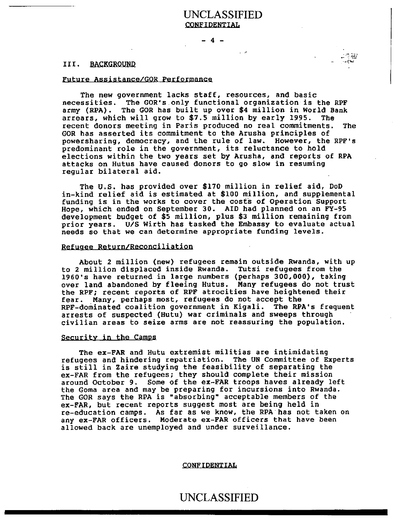### UNCLASSIFIED **CONFIDENTIAL**

- 4 -

#### III. BACKGROUND

#### Future Assistance/GOR Performance

The new government lacks staff, resources, and basic necessities. The GOR's only functional organization is the RPF army (RPA). The GOR has built up over \$4 million in World Bank arrears, which will grow to \$7.5 million by early 1995. The recent donors meeting in Paris produced no real commitments. The GOR has asserted its commitment to the Arusha principles of powersharing, democracy, and the rule of law. However, the RPF's predominant role in the government, its reluctance to hold elections within the two years set by Arusha, and reports of RPA attacks on Hutus have caused donors to go slow in resuming regular bilateral aid.

The U.S. has provided over \$170 million in relief aid, DoD in-kind relief aid is estimated at \$100 million, and supplemental funding is in the works to cover the costs of Operation Support Hope, which ended on September 30. AID had planned on an FY-95 development budget of \$5 million, plus \$3 million remaining from prior years. U/S Wirth has tasked the Embassy to evaluate actual needs so that we can determine appropriate funding levels.

#### Refugee Return/Reconciliation

About 2 million (new) refugees remain outside Rwanda, with up to 2 million displaced inside Rwanda. Tutsi refugees from the 1960's have returned in large numbers (perhaps 300,000), taking over land abandoned by fleeing Hutus. Many refugees do not trust the RPF; recent reports of RPF atrocities have heightened their fear. Many, perhaps most, refugees do not accept the RPF-dominated coalition government in Kigali. The RPA's frequent arrests of suspected (Hutu) war criminals and sweeps through civilian areas to seize arms are not reassuring the population.

#### Security in the Camps

The ex-FAR and Hutu extremist militias are intimidating refugees and hindering repatriation. The UN Committee of Experts is still in Zaire studying the feasibility of separating the ex-FAR from the refugees; they should complete their mission around October 9. Some of the ex-FAR troops haves already left the Goma area and may be preparing for incursions into Rwanda. The GOR says the RPA is "absorbing" acceptable members of the ex-FAR, but recent reports suggest most are being held in re-education camps. As far as we know, the RPA has not taken on any ex-FAR officers. Moderate ex-FAR officers that have been allowed back are unemployed and under surveillance.

#### CONFIDENTIAL